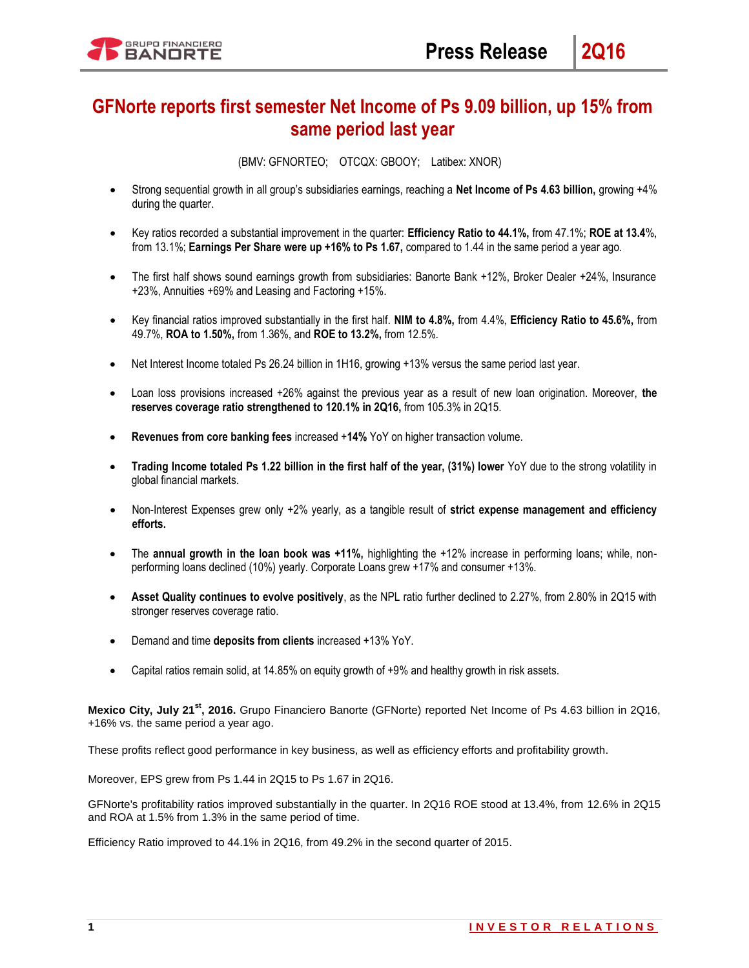# **GFNorte reports first semester Net Income of Ps 9.09 billion, up 15% from same period last year**

(BMV: GFNORTEO; OTCQX: GBOOY; Latibex: XNOR)

- Strong sequential growth in all group's subsidiaries earnings, reaching a **Net Income of Ps 4.63 billion,** growing +4% during the quarter.
- Key ratios recorded a substantial improvement in the quarter: **Efficiency Ratio to 44.1%,** from 47.1%; **ROE at 13.4**%, from 13.1%; **Earnings Per Share were up +16% to Ps 1.67,** compared to 1.44 in the same period a year ago.
- The first half shows sound earnings growth from subsidiaries: Banorte Bank +12%, Broker Dealer +24%, Insurance +23%, Annuities +69% and Leasing and Factoring +15%.
- Key financial ratios improved substantially in the first half. **NIM to 4.8%,** from 4.4%, **Efficiency Ratio to 45.6%,** from 49.7%, **ROA to 1.50%,** from 1.36%, and **ROE to 13.2%,** from 12.5%.
- Net Interest Income totaled Ps 26.24 billion in 1H16, growing +13% versus the same period last year.
- Loan loss provisions increased +26% against the previous year as a result of new loan origination. Moreover, **the reserves coverage ratio strengthened to 120.1% in 2Q16,** from 105.3% in 2Q15.
- **Revenues from core banking fees** increased +**14%** YoY on higher transaction volume.
- **Trading Income totaled Ps 1.22 billion in the first half of the year, (31%) lower** YoY due to the strong volatility in global financial markets.
- Non-Interest Expenses grew only +2% yearly, as a tangible result of **strict expense management and efficiency efforts.**
- The **annual growth in the loan book was +11%,** highlighting the +12% increase in performing loans; while, nonperforming loans declined (10%) yearly. Corporate Loans grew +17% and consumer +13%.
- **Asset Quality continues to evolve positively**, as the NPL ratio further declined to 2.27%, from 2.80% in 2Q15 with stronger reserves coverage ratio.
- Demand and time **deposits from clients** increased +13% YoY.
- Capital ratios remain solid, at 14.85% on equity growth of +9% and healthy growth in risk assets.

**Mexico City, July 21st, 2016.** Grupo Financiero Banorte (GFNorte) reported Net Income of Ps 4.63 billion in 2Q16, +16% vs. the same period a year ago.

These profits reflect good performance in key business, as well as efficiency efforts and profitability growth.

Moreover, EPS grew from Ps 1.44 in 2Q15 to Ps 1.67 in 2Q16.

GFNorte's profitability ratios improved substantially in the quarter. In 2Q16 ROE stood at 13.4%, from 12.6% in 2Q15 and ROA at 1.5% from 1.3% in the same period of time.

Efficiency Ratio improved to 44.1% in 2Q16, from 49.2% in the second quarter of 2015.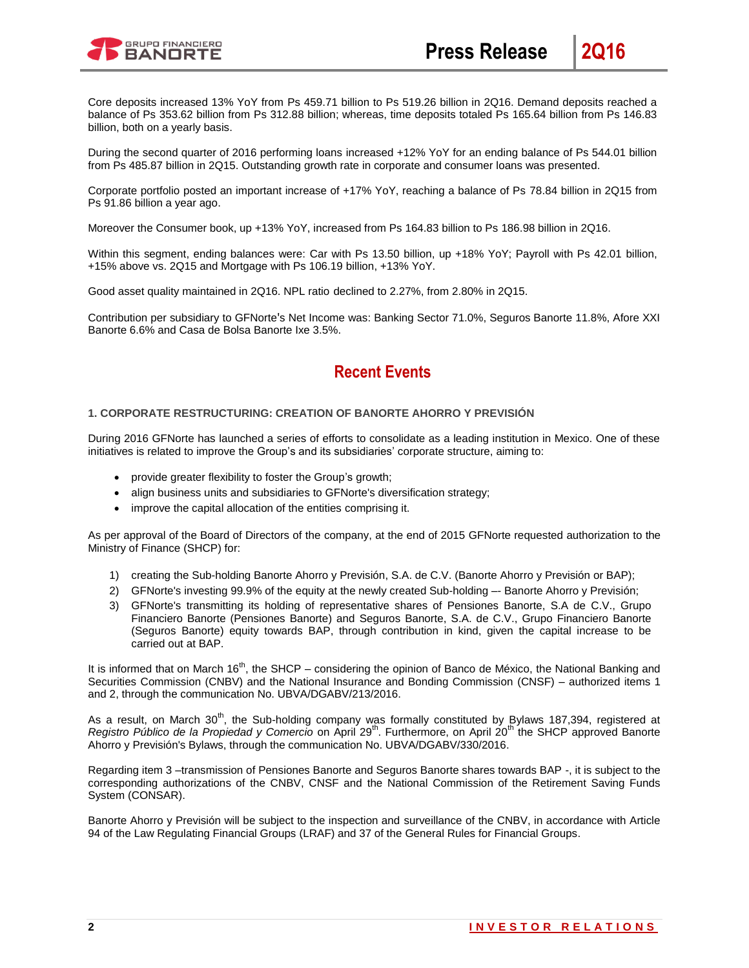

Core deposits increased 13% YoY from Ps 459.71 billion to Ps 519.26 billion in 2Q16. Demand deposits reached a balance of Ps 353.62 billion from Ps 312.88 billion; whereas, time deposits totaled Ps 165.64 billion from Ps 146.83 billion, both on a yearly basis.

During the second quarter of 2016 performing loans increased +12% YoY for an ending balance of Ps 544.01 billion from Ps 485.87 billion in 2Q15. Outstanding growth rate in corporate and consumer loans was presented.

Corporate portfolio posted an important increase of +17% YoY, reaching a balance of Ps 78.84 billion in 2Q15 from Ps 91.86 billion a year ago.

Moreover the Consumer book, up +13% YoY, increased from Ps 164.83 billion to Ps 186.98 billion in 2Q16.

Within this segment, ending balances were: Car with Ps 13.50 billion, up +18% YoY; Payroll with Ps 42.01 billion, +15% above vs. 2Q15 and Mortgage with Ps 106.19 billion, +13% YoY.

Good asset quality maintained in 2Q16. NPL ratio declined to 2.27%, from 2.80% in 2Q15.

Contribution per subsidiary to GFNorte's Net Income was: Banking Sector 71.0%, Seguros Banorte 11.8%, Afore XXI Banorte 6.6% and Casa de Bolsa Banorte Ixe 3.5%.

# **Recent Events**

# **1. CORPORATE RESTRUCTURING: CREATION OF BANORTE AHORRO Y PREVISIÓN**

During 2016 GFNorte has launched a series of efforts to consolidate as a leading institution in Mexico. One of these initiatives is related to improve the Group's and its subsidiaries' corporate structure, aiming to:

- provide greater flexibility to foster the Group's growth;
- align business units and subsidiaries to GFNorte's diversification strategy;
- improve the capital allocation of the entities comprising it.

As per approval of the Board of Directors of the company, at the end of 2015 GFNorte requested authorization to the Ministry of Finance (SHCP) for:

- 1) creating the Sub-holding Banorte Ahorro y Previsión, S.A. de C.V. (Banorte Ahorro y Previsión or BAP);
- 2) GFNorte's investing 99.9% of the equity at the newly created Sub-holding –- Banorte Ahorro y Previsión;
- 3) GFNorte's transmitting its holding of representative shares of Pensiones Banorte, S.A de C.V., Grupo Financiero Banorte (Pensiones Banorte) and Seguros Banorte, S.A. de C.V., Grupo Financiero Banorte (Seguros Banorte) equity towards BAP, through contribution in kind, given the capital increase to be carried out at BAP.

It is informed that on March 16<sup>th</sup>, the SHCP – considering the opinion of Banco de México, the National Banking and Securities Commission (CNBV) and the National Insurance and Bonding Commission (CNSF) – authorized items 1 and 2, through the communication No. UBVA/DGABV/213/2016.

As a result, on March  $30<sup>th</sup>$ , the Sub-holding company was formally constituted by Bylaws 187,394, registered at *Registro Público de la Propiedad y Comercio* on April 29<sup>th</sup>. Furthermore, on April 20<sup>th</sup> the SHCP approved Banorte Ahorro y Previsión's Bylaws, through the communication No. UBVA/DGABV/330/2016.

Regarding item 3 –transmission of Pensiones Banorte and Seguros Banorte shares towards BAP -, it is subject to the corresponding authorizations of the CNBV, CNSF and the National Commission of the Retirement Saving Funds System (CONSAR).

Banorte Ahorro y Previsión will be subject to the inspection and surveillance of the CNBV, in accordance with Article 94 of the Law Regulating Financial Groups (LRAF) and 37 of the General Rules for Financial Groups.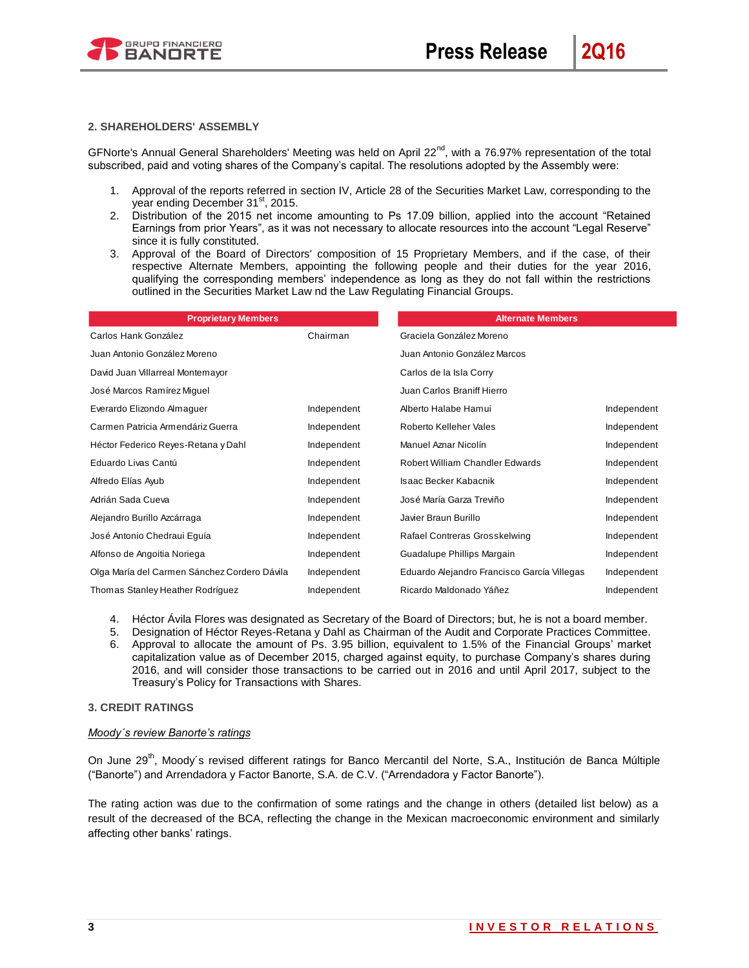

### **2. SHAREHOLDERS' ASSEMBLY**

GFNorte's Annual General Shareholders' Meeting was held on April  $22^{nd}$ , with a 76.97% representation of the total subscribed, paid and voting shares of the Company's capital. The resolutions adopted by the Assembly were:

- 1. Approval of the reports referred in section IV, Article 28 of the Securities Market Law, corresponding to the year ending December 31<sup>st</sup>, 2015.
- 2. Distribution of the 2015 net income amounting to Ps 17.09 billion, applied into the account "Retained Earnings from prior Years", as it was not necessary to allocate resources into the account "Legal Reserve" since it is fully constituted.
- 3. Approval of the Board of Directors' composition of 15 Proprietary Members, and if the case, of their respective Alternate Members, appointing the following people and their duties for the year 2016, qualifying the corresponding members' independence as long as they do not fall within the restrictions outlined in the Securities Market Law nd the Law Regulating Financial Groups.

| <b>Proprietary Members</b>                   |             | <b>Alternate Members</b>                    |             |  |
|----------------------------------------------|-------------|---------------------------------------------|-------------|--|
| Carlos Hank González                         | Chairman    | Graciela González Moreno                    |             |  |
| Juan Antonio González Moreno                 |             | Juan Antonio González Marcos                |             |  |
| David Juan Villarreal Montemayor             |             | Carlos de la Isla Corry                     |             |  |
| José Marcos Ramírez Miguel                   |             | Juan Carlos Braniff Hierro                  |             |  |
| Everardo Elizondo Almaguer                   | Independent | Alberto Halabe Hamui                        | Independent |  |
| Carmen Patricia Armendáriz Guerra            | Independent | Roberto Kelleher Vales                      | Independent |  |
| Héctor Federico Reyes-Retana y Dahl          | Independent | Manuel Aznar Nicolín                        | Independent |  |
| Eduardo Livas Cantú                          | Independent | <b>Robert William Chandler Edwards</b>      | Independent |  |
| Alfredo Elías Ayub                           | Independent | Isaac Becker Kabacnik                       | Independent |  |
| Adrián Sada Cueva                            | Independent | José María Garza Treviño                    | Independent |  |
| Alejandro Burillo Azcárraga                  | Independent | Javier Braun Burillo                        | Independent |  |
| José Antonio Chedraui Eguía                  | Independent | Rafael Contreras Grosskelwing               | Independent |  |
| Alfonso de Angoitia Noriega                  | Independent | Guadalupe Phillips Margain                  | Independent |  |
| Olga María del Carmen Sánchez Cordero Dávila | Independent | Eduardo Alejandro Francisco García Villegas | Independent |  |
| Thomas Stanley Heather Rodríguez             | Independent | Ricardo Maldonado Yáñez                     | Independent |  |

- 4. Héctor Ávila Flores was designated as Secretary of the Board of Directors; but, he is not a board member.
- 5. Designation of Héctor Reyes-Retana y Dahl as Chairman of the Audit and Corporate Practices Committee. 6. Approval to allocate the amount of Ps. 3.95 billion, equivalent to 1.5% of the Financial Groups' market capitalization value as of December 2015, charged against equity, to purchase Company's shares during 2016, and will consider those transactions to be carried out in 2016 and until April 2017, subject to the Treasury's Policy for Transactions with Shares.

#### **3. CREDIT RATINGS**

#### *Moody´s review Banorte's ratings*

On June 29<sup>th</sup>, Moody's revised different ratings for Banco Mercantil del Norte, S.A., Institución de Banca Múltiple ("Banorte") and Arrendadora y Factor Banorte, S.A. de C.V. ("Arrendadora y Factor Banorte").

The rating action was due to the confirmation of some ratings and the change in others (detailed list below) as a result of the decreased of the BCA, reflecting the change in the Mexican macroeconomic environment and similarly affecting other banks' ratings.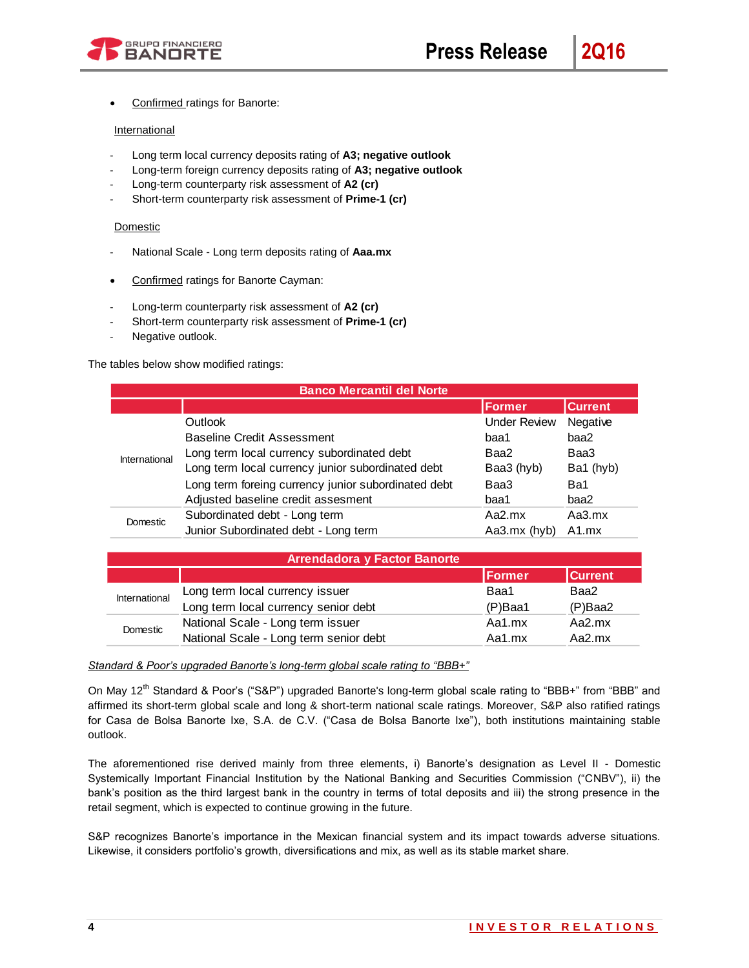

Confirmed ratings for Banorte:

# International

- Long term local currency deposits rating of **A3; negative outlook**
- Long-term foreign currency deposits rating of **A3; negative outlook**
- Long-term counterparty risk assessment of **A2 (cr)**
- Short-term counterparty risk assessment of **Prime-1 (cr)**

# **Domestic**

- National Scale Long term deposits rating of **Aaa.mx**
- Confirmed ratings for Banorte Cayman:
- Long-term counterparty risk assessment of **A2 (cr)**
- Short-term counterparty risk assessment of **Prime-1 (cr)**
- Negative outlook.

The tables below show modified ratings:

| <b>Banco Mercantil del Norte</b> |                                                     |                     |                |  |  |
|----------------------------------|-----------------------------------------------------|---------------------|----------------|--|--|
|                                  |                                                     | Former              | <b>Current</b> |  |  |
| International                    | Outlook                                             | <b>Under Review</b> | Negative       |  |  |
|                                  | Baseline Credit Assessment                          | baa1                | baa2           |  |  |
|                                  | Long term local currency subordinated debt          | Baa2                | Baa3           |  |  |
|                                  | Long term local currency junior subordinated debt   | Baa3 (hyb)          | Ba1 (hyb)      |  |  |
|                                  | Long term foreing currency junior subordinated debt | Baa3                | Ba1            |  |  |
|                                  | Adjusted baseline credit assesment                  | baa1                | baa2           |  |  |
| Domestic                         | Subordinated debt - Long term                       | Aa $2$ .mx          | Aa3.mx         |  |  |
|                                  | Junior Subordinated debt - Long term                | Aa3.mx (hyb)        | $A1$ .mx       |  |  |

| Arrendadora y Factor Banorte |                                        |               |                |  |  |
|------------------------------|----------------------------------------|---------------|----------------|--|--|
|                              |                                        | <b>Former</b> | <b>Current</b> |  |  |
| International                | Long term local currency issuer        | Baa1          | Baa2           |  |  |
|                              | Long term local currency senior debt   | $(P)$ Baa1    | $(P)$ Baa2     |  |  |
| Domestic                     | National Scale - Long term issuer      | Aa1.mx        | Aa2.mx         |  |  |
|                              | National Scale - Long term senior debt | Aa1.mx        | Aa2.mx         |  |  |

# *Standard & Poor's upgraded Banorte's long-term global scale rating to "BBB+"*

On May 12<sup>th</sup> Standard & Poor's ("S&P") upgraded Banorte's long-term global scale rating to "BBB+" from "BBB" and affirmed its short-term global scale and long & short-term national scale ratings. Moreover, S&P also ratified ratings for Casa de Bolsa Banorte Ixe, S.A. de C.V. ("Casa de Bolsa Banorte Ixe"), both institutions maintaining stable outlook.

The aforementioned rise derived mainly from three elements, i) Banorte's designation as Level II - Domestic Systemically Important Financial Institution by the National Banking and Securities Commission ("CNBV"), ii) the bank's position as the third largest bank in the country in terms of total deposits and iii) the strong presence in the retail segment, which is expected to continue growing in the future.

S&P recognizes Banorte's importance in the Mexican financial system and its impact towards adverse situations. Likewise, it considers portfolio's growth, diversifications and mix, as well as its stable market share.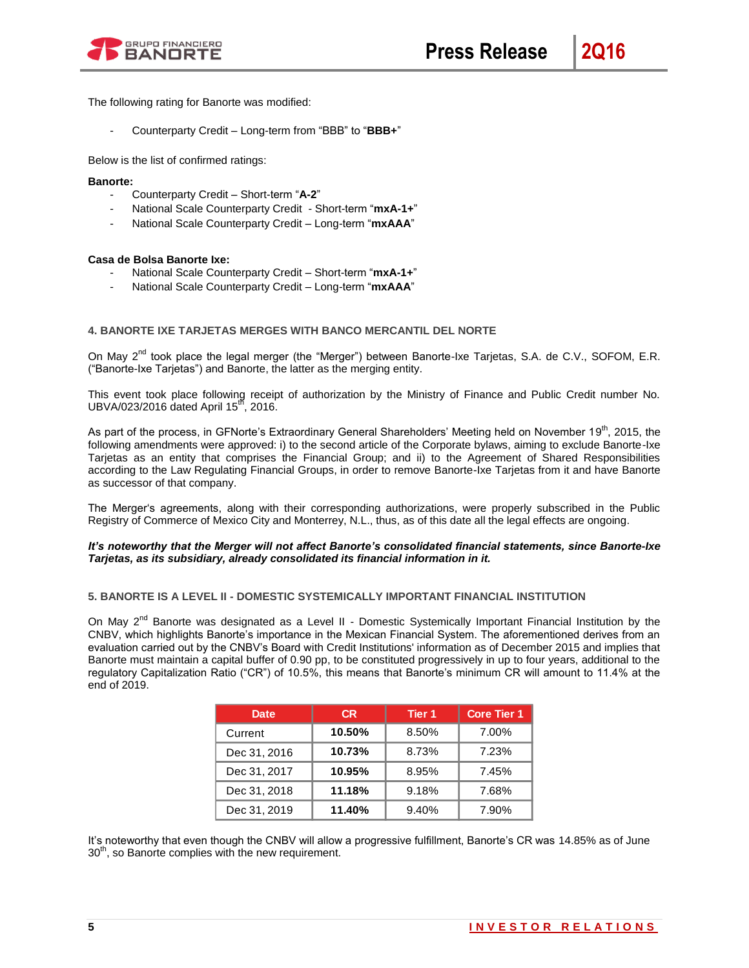

The following rating for Banorte was modified:

- Counterparty Credit – Long-term from "BBB" to "**BBB+**"

Below is the list of confirmed ratings:

#### **Banorte:**

- Counterparty Credit Short-term "**A-2**"
- National Scale Counterparty Credit Short-term "**mxA-1+**"
- National Scale Counterparty Credit Long-term "**mxAAA**"

#### **Casa de Bolsa Banorte Ixe:**

- National Scale Counterparty Credit Short-term "**mxA-1+**"
- National Scale Counterparty Credit Long-term "**mxAAA**"

# **4. BANORTE IXE TARJETAS MERGES WITH BANCO MERCANTIL DEL NORTE**

On May 2<sup>nd</sup> took place the legal merger (the "Merger") between Banorte-Ixe Tarjetas, S.A. de C.V., SOFOM, E.R. ("Banorte-Ixe Tarjetas") and Banorte, the latter as the merging entity.

This event took place following receipt of authorization by the Ministry of Finance and Public Credit number No. UBVA/023/2016 dated April 15<sup>th</sup>, 2016.

As part of the process, in GFNorte's Extraordinary General Shareholders' Meeting held on November 19<sup>th</sup>, 2015, the following amendments were approved: i) to the second article of the Corporate bylaws, aiming to exclude Banorte-Ixe Tarjetas as an entity that comprises the Financial Group; and ii) to the Agreement of Shared Responsibilities according to the Law Regulating Financial Groups, in order to remove Banorte-Ixe Tarjetas from it and have Banorte as successor of that company.

The Merger's agreements, along with their corresponding authorizations, were properly subscribed in the Public Registry of Commerce of Mexico City and Monterrey, N.L., thus, as of this date all the legal effects are ongoing.

#### *It's noteworthy that the Merger will not affect Banorte's consolidated financial statements, since Banorte-Ixe Tarjetas, as its subsidiary, already consolidated its financial information in it.*

#### **5. BANORTE IS A LEVEL II - DOMESTIC SYSTEMICALLY IMPORTANT FINANCIAL INSTITUTION**

On May 2<sup>nd</sup> Banorte was designated as a Level II - Domestic Systemically Important Financial Institution by the CNBV, which highlights Banorte's importance in the Mexican Financial System. The aforementioned derives from an evaluation carried out by the CNBV's Board with Credit Institutions' information as of December 2015 and implies that Banorte must maintain a capital buffer of 0.90 pp, to be constituted progressively in up to four years, additional to the regulatory Capitalization Ratio ("CR") of 10.5%, this means that Banorte's minimum CR will amount to 11.4% at the end of 2019.

| <b>Date</b>  | <b>CR</b> | Tier <sub>1</sub> | <b>Core Tier 1</b> |
|--------------|-----------|-------------------|--------------------|
| Current      | 10.50%    | 8.50%             | 7.00%              |
| Dec 31, 2016 | 10.73%    | 8.73%             | 7.23%              |
| Dec 31, 2017 | 10.95%    | 8.95%             | 7.45%              |
| Dec 31, 2018 | 11.18%    | 9.18%             | 7.68%              |
| Dec 31, 2019 | 11.40%    | 9.40%             | 7.90%              |

It's noteworthy that even though the CNBV will allow a progressive fulfillment, Banorte's CR was 14.85% as of June 30<sup>th</sup>, so Banorte complies with the new requirement.